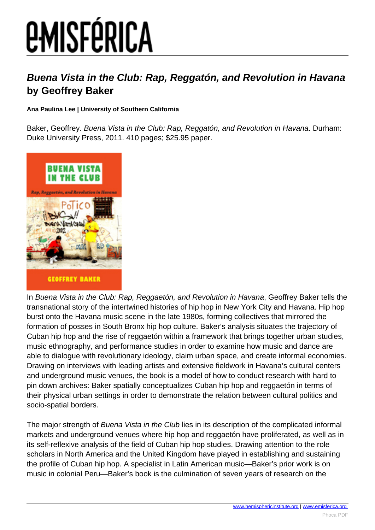## *EMISFÉRICA*

## **Buena Vista in the Club: Rap, Reggatón, and Revolution in Havana by Geoffrey Baker**

**Ana Paulina Lee | University of Southern California**

Baker, Geoffrey. Buena Vista in the Club: Rap, Reggatón, and Revolution in Havana. Durham: Duke University Press, 2011. 410 pages; \$25.95 paper.



In Buena Vista in the Club: Rap, Reggaetón, and Revolution in Havana, Geoffrey Baker tells the transnational story of the intertwined histories of hip hop in New York City and Havana. Hip hop burst onto the Havana music scene in the late 1980s, forming collectives that mirrored the formation of posses in South Bronx hip hop culture. Baker's analysis situates the trajectory of Cuban hip hop and the rise of reggaetón within a framework that brings together urban studies, music ethnography, and performance studies in order to examine how music and dance are able to dialogue with revolutionary ideology, claim urban space, and create informal economies. Drawing on interviews with leading artists and extensive fieldwork in Havana's cultural centers and underground music venues, the book is a model of how to conduct research with hard to pin down archives: Baker spatially conceptualizes Cuban hip hop and reggaetón in terms of their physical urban settings in order to demonstrate the relation between cultural politics and socio-spatial borders.

The major strength of Buena Vista in the Club lies in its description of the complicated informal markets and underground venues where hip hop and reggaetón have proliferated, as well as in its self-reflexive analysis of the field of Cuban hip hop studies. Drawing attention to the role scholars in North America and the United Kingdom have played in establishing and sustaining the profile of Cuban hip hop. A specialist in Latin American music—Baker's prior work is on music in colonial Peru—Baker's book is the culmination of seven years of research on the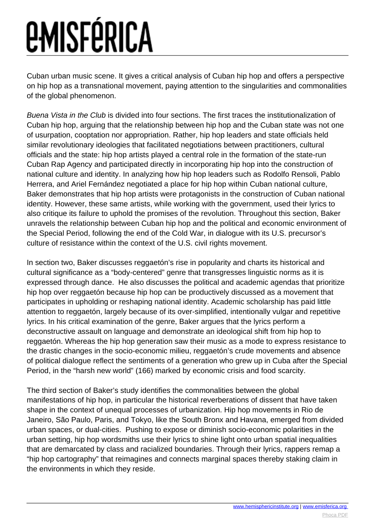## *EMISFÉRICA*

Cuban urban music scene. It gives a critical analysis of Cuban hip hop and offers a perspective on hip hop as a transnational movement, paying attention to the singularities and commonalities of the global phenomenon.

Buena Vista in the Club is divided into four sections. The first traces the institutionalization of Cuban hip hop, arguing that the relationship between hip hop and the Cuban state was not one of usurpation, cooptation nor appropriation. Rather, hip hop leaders and state officials held similar revolutionary ideologies that facilitated negotiations between practitioners, cultural officials and the state: hip hop artists played a central role in the formation of the state-run Cuban Rap Agency and participated directly in incorporating hip hop into the construction of national culture and identity. In analyzing how hip hop leaders such as Rodolfo Rensoli, Pablo Herrera, and Ariel Fernández negotiated a place for hip hop within Cuban national culture, Baker demonstrates that hip hop artists were protagonists in the construction of Cuban national identity. However, these same artists, while working with the government, used their lyrics to also critique its failure to uphold the promises of the revolution. Throughout this section, Baker unravels the relationship between Cuban hip hop and the political and economic environment of the Special Period, following the end of the Cold War, in dialogue with its U.S. precursor's culture of resistance within the context of the U.S. civil rights movement.

In section two, Baker discusses reggaetón's rise in popularity and charts its historical and cultural significance as a "body-centered" genre that transgresses linguistic norms as it is expressed through dance. He also discusses the political and academic agendas that prioritize hip hop over reggaetón because hip hop can be productively discussed as a movement that participates in upholding or reshaping national identity. Academic scholarship has paid little attention to reggaetón, largely because of its over-simplified, intentionally vulgar and repetitive lyrics. In his critical examination of the genre, Baker argues that the lyrics perform a deconstructive assault on language and demonstrate an ideological shift from hip hop to reggaetón. Whereas the hip hop generation saw their music as a mode to express resistance to the drastic changes in the socio-economic milieu, reggaetón's crude movements and absence of political dialogue reflect the sentiments of a generation who grew up in Cuba after the Special Period, in the "harsh new world" (166) marked by economic crisis and food scarcity.

The third section of Baker's study identifies the commonalities between the global manifestations of hip hop, in particular the historical reverberations of dissent that have taken shape in the context of unequal processes of urbanization. Hip hop movements in Rio de Janeiro, São Paulo, Paris, and Tokyo, like the South Bronx and Havana, emerged from divided urban spaces, or dual-cities. Pushing to expose or diminish socio-economic polarities in the urban setting, hip hop wordsmiths use their lyrics to shine light onto urban spatial inequalities that are demarcated by class and racialized boundaries. Through their lyrics, rappers remap a "hip hop cartography" that reimagines and connects marginal spaces thereby staking claim in the environments in which they reside.